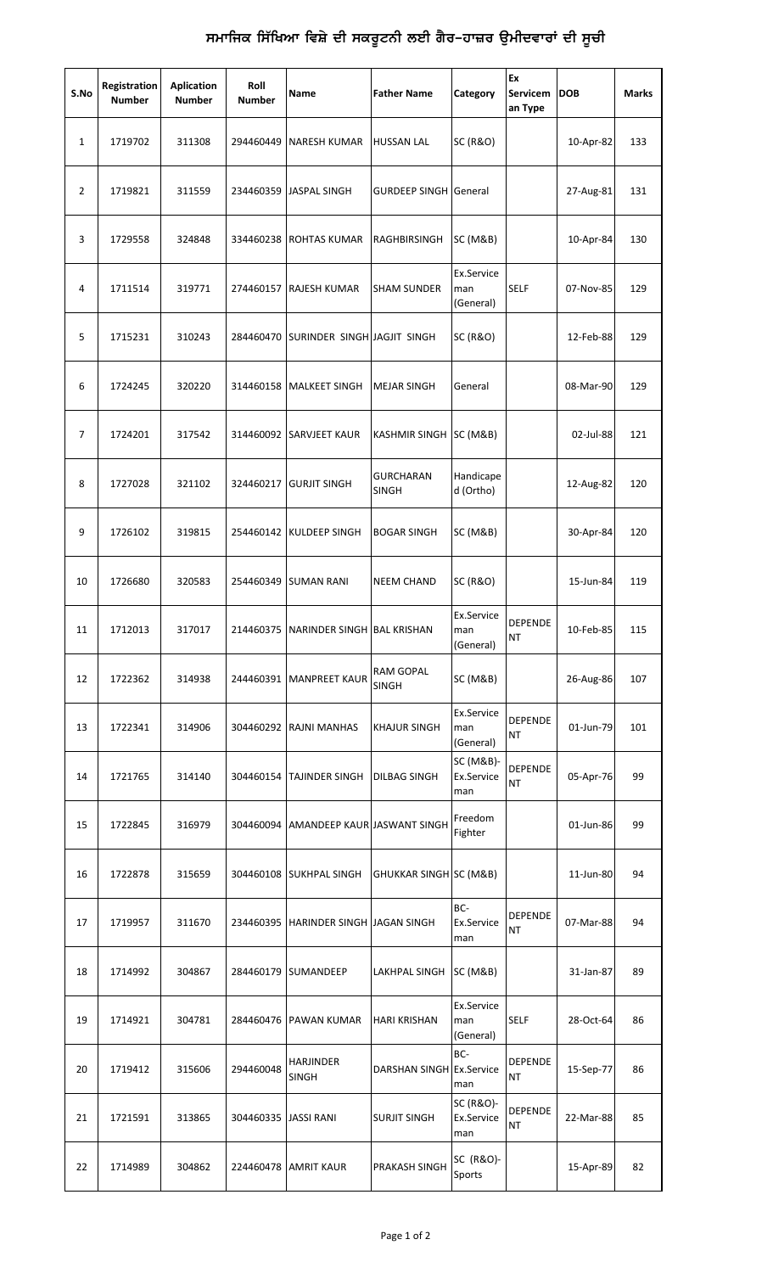## ਸਮਾਜਿਕ ਸਿੱਖਿਆ ਵਿਸ਼ੇ ਦੀ ਸਕਰੂਟਨੀ ਲਈ ਗੈਰ–ਹਾਜ਼ਰ ਉਮੀਦਵਾਰਾਂ ਦੀ ਸੂਚੀ

| S.No         | Registration<br><b>Number</b> | Aplication<br><b>Number</b> | Roll<br><b>Number</b> | Name                                  | <b>Father Name</b>           | Category                       | Ex<br>Servicem<br>an Type   | <b>DOB</b> | <b>Marks</b> |
|--------------|-------------------------------|-----------------------------|-----------------------|---------------------------------------|------------------------------|--------------------------------|-----------------------------|------------|--------------|
| $\mathbf{1}$ | 1719702                       | 311308                      | 294460449             | <b>NARESH KUMAR</b>                   | <b>HUSSAN LAL</b>            | <b>SC (R&amp;O)</b>            |                             | 10-Apr-82  | 133          |
| 2            | 1719821                       | 311559                      | 234460359             | <b>JASPAL SINGH</b>                   | <b>GURDEEP SINGH General</b> |                                |                             | 27-Aug-81  | 131          |
| 3            | 1729558                       | 324848                      | 334460238             | <b>ROHTAS KUMAR</b>                   | RAGHBIRSINGH                 | <b>SC (M&amp;B)</b>            |                             | 10-Apr-84  | 130          |
| 4            | 1711514                       | 319771                      | 274460157             | RAJESH KUMAR                          | <b>SHAM SUNDER</b>           | Ex.Service<br>man<br>(General) | <b>SELF</b>                 | 07-Nov-85  | 129          |
| 5            | 1715231                       | 310243                      |                       | 284460470 SURINDER SINGH JAGJIT SINGH |                              | <b>SC (R&amp;O)</b>            |                             | 12-Feb-88  | 129          |
| 6            | 1724245                       | 320220                      |                       | 314460158 MALKEET SINGH               | <b>MEJAR SINGH</b>           | General                        |                             | 08-Mar-90  | 129          |
| 7            | 1724201                       | 317542                      | 314460092             | <b>SARVJEET KAUR</b>                  | <b>KASHMIR SINGH</b>         | <b>SC (M&amp;B)</b>            |                             | 02-Jul-88  | 121          |
| 8            | 1727028                       | 321102                      | 324460217             | <b>GURJIT SINGH</b>                   | GURCHARAN<br>SINGH           | Handicape<br>d (Ortho)         |                             | 12-Aug-82  | 120          |
| 9            | 1726102                       | 319815                      |                       | 254460142 KULDEEP SINGH               | <b>BOGAR SINGH</b>           | <b>SC (M&amp;B)</b>            |                             | 30-Apr-84  | 120          |
| 10           | 1726680                       | 320583                      | 254460349             | <b>SUMAN RANI</b>                     | <b>NEEM CHAND</b>            | <b>SC (R&amp;O)</b>            |                             | 15-Jun-84  | 119          |
| 11           | 1712013                       | 317017                      |                       | 214460375 NARINDER SINGH BAL KRISHAN  |                              | Ex.Service<br>man<br>(General) | <b>DEPENDE</b><br><b>NT</b> | 10-Feb-85  | 115          |
| 12           | 1722362                       | 314938                      |                       | 244460391   MANPREET KAUR             | RAM GOPAL<br><b>SINGH</b>    | SC (M&B)                       |                             | 26-Aug-86  | 107          |
| 13           | 1722341                       | 314906                      | 304460292             | <b>RAJNI MANHAS</b>                   | <b>KHAJUR SINGH</b>          | Ex.Service<br>man<br>(General) | <b>DEPENDE</b><br><b>NT</b> | 01-Jun-79  | 101          |
| 14           | 1721765                       | 314140                      | 304460154             | <b>TAJINDER SINGH</b>                 | DILBAG SINGH                 | SC (M&B)-<br>Ex.Service<br>man | <b>DEPENDE</b><br><b>NT</b> | 05-Apr-76  | 99           |
| 15           | 1722845                       | 316979                      | 304460094             | AMANDEEP KAUR JASWANT SINGH           |                              | Freedom<br>Fighter             |                             | 01-Jun-86  | 99           |
| 16           | 1722878                       | 315659                      | 304460108             | <b>SUKHPAL SINGH</b>                  | GHUKKAR SINGH SC (M&B)       |                                |                             | 11-Jun-80  | 94           |
| 17           | 1719957                       | 311670                      | 234460395             | HARINDER SINGH JAGAN SINGH            |                              | BC-<br>Ex.Service<br>man       | <b>DEPENDE</b><br><b>NT</b> | 07-Mar-88  | 94           |
| 18           | 1714992                       | 304867                      | 284460179             | <b>SUMANDEEP</b>                      | LAKHPAL SINGH                | <b>SC (M&amp;B)</b>            |                             | 31-Jan-87  | 89           |
| 19           | 1714921                       | 304781                      | 284460476             | <b>PAWAN KUMAR</b>                    | HARI KRISHAN                 | Ex.Service<br>man<br>(General) | <b>SELF</b>                 | 28-Oct-64  | 86           |
| 20           | 1719412                       | 315606                      | 294460048             | <b>HARJINDER</b><br><b>SINGH</b>      | DARSHAN SINGH Ex.Service     | BC-<br>man                     | <b>DEPENDE</b><br>ΝT        | 15-Sep-77  | 86           |
| 21           | 1721591                       | 313865                      | 304460335  JASSI RANI |                                       | <b>SURJIT SINGH</b>          | SC (R&O)-<br>Ex.Service<br>man | <b>DEPENDE</b><br><b>NT</b> | 22-Mar-88  | 85           |
| 22           | 1714989                       | 304862                      | 224460478             | <b>AMRIT KAUR</b>                     | PRAKASH SINGH                | SC (R&O)-<br>Sports            |                             | 15-Apr-89  | 82           |